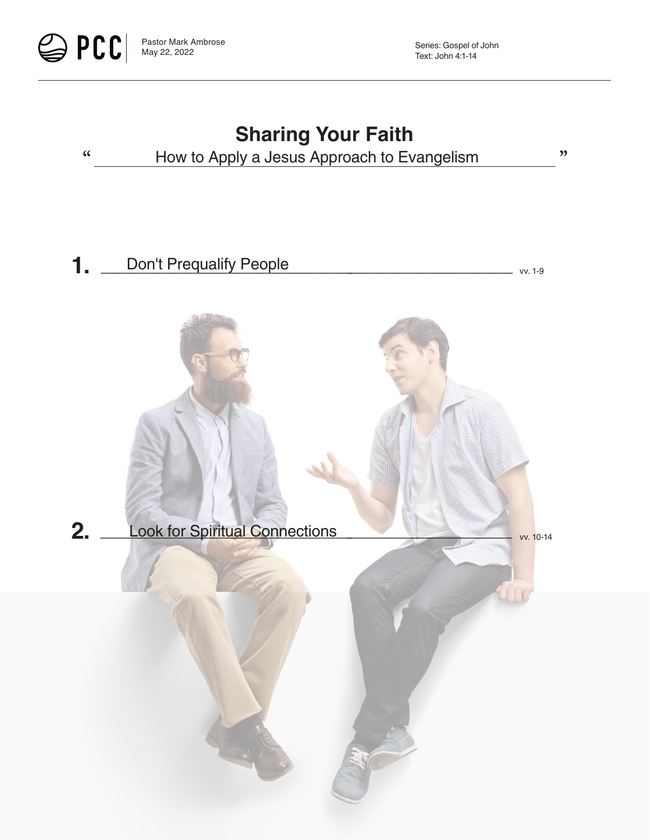



 $\mathfrak{z}$